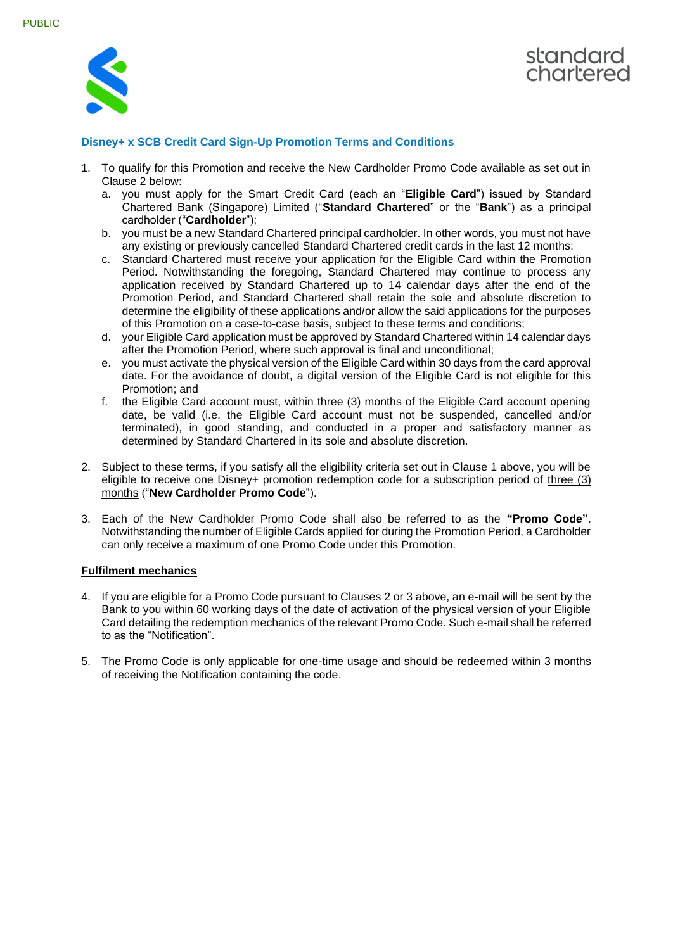



## **Disney+ x SCB Credit Card Sign-Up Promotion Terms and Conditions**

- 1. To qualify for this Promotion and receive the New Cardholder Promo Code available as set out in Clause 2 below:
	- a. you must apply for the Smart Credit Card (each an "**Eligible Card**") issued by Standard Chartered Bank (Singapore) Limited ("**Standard Chartered**" or the "**Bank**") as a principal cardholder ("**Cardholder**");
	- b. you must be a new Standard Chartered principal cardholder. In other words, you must not have any existing or previously cancelled Standard Chartered credit cards in the last 12 months;
	- c. Standard Chartered must receive your application for the Eligible Card within the Promotion Period. Notwithstanding the foregoing, Standard Chartered may continue to process any application received by Standard Chartered up to 14 calendar days after the end of the Promotion Period, and Standard Chartered shall retain the sole and absolute discretion to determine the eligibility of these applications and/or allow the said applications for the purposes of this Promotion on a case-to-case basis, subject to these terms and conditions;
	- d. your Eligible Card application must be approved by Standard Chartered within 14 calendar days after the Promotion Period, where such approval is final and unconditional;
	- e. you must activate the physical version of the Eligible Card within 30 days from the card approval date. For the avoidance of doubt, a digital version of the Eligible Card is not eligible for this Promotion; and
	- f. the Eligible Card account must, within three (3) months of the Eligible Card account opening date, be valid (i.e. the Eligible Card account must not be suspended, cancelled and/or terminated), in good standing, and conducted in a proper and satisfactory manner as determined by Standard Chartered in its sole and absolute discretion.
- 2. Subject to these terms, if you satisfy all the eligibility criteria set out in Clause 1 above, you will be eligible to receive one Disney+ promotion redemption code for a subscription period of three (3) months ("**New Cardholder Promo Code**").
- 3. Each of the New Cardholder Promo Code shall also be referred to as the **"Promo Code"**. Notwithstanding the number of Eligible Cards applied for during the Promotion Period, a Cardholder can only receive a maximum of one Promo Code under this Promotion.

## **Fulfilment mechanics**

- 4. If you are eligible for a Promo Code pursuant to Clauses 2 or 3 above, an e-mail will be sent by the Bank to you within 60 working days of the date of activation of the physical version of your Eligible Card detailing the redemption mechanics of the relevant Promo Code. Such e-mail shall be referred to as the "Notification".
- 5. The Promo Code is only applicable for one-time usage and should be redeemed within 3 months of receiving the Notification containing the code.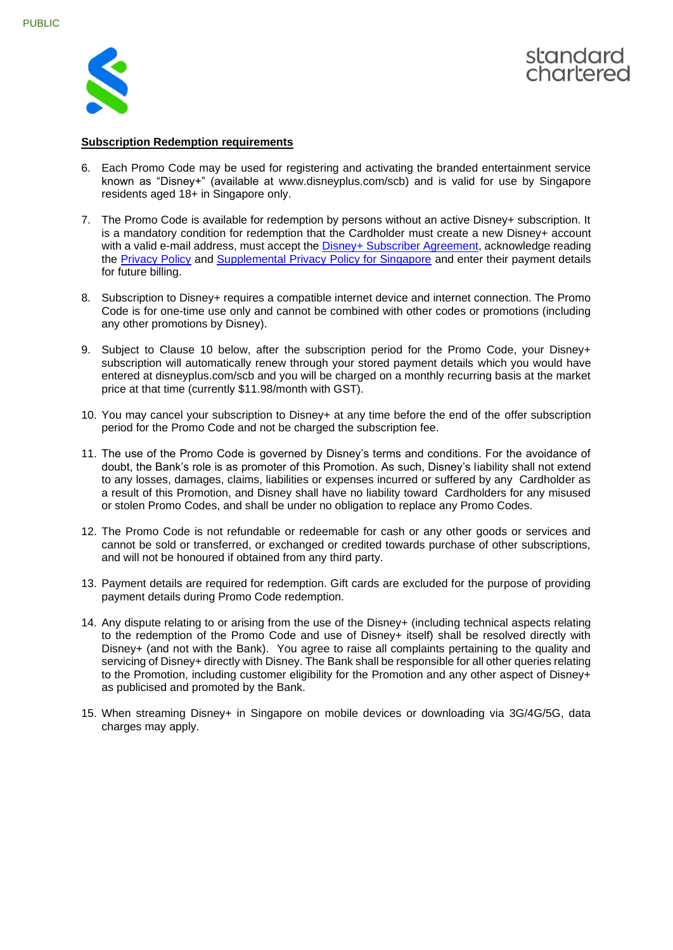



## **Subscription Redemption requirements**

- 6. Each Promo Code may be used for registering and activating the branded entertainment service known as "Disney+" (available at www.disneyplus.com/scb) and is valid for use by Singapore residents aged 18+ in Singapore only.
- 7. The Promo Code is available for redemption by persons without an active Disney+ subscription. It is a mandatory condition for redemption that the Cardholder must create a new Disney+ account with a valid e-mail address, must accept the [Disney+ Subscriber Agreement,](https://www.disneyplus.com/en-gb/legal/subscriber-agreement) acknowledge reading the [Privacy Policy](https://www.disneyplus.com/en-gb/legal/privacy-policy) and [Supplemental Privacy Policy for Singapore](https://www.disneyplus.com/en-gb/legal/supplemental-privacy-policy) and enter their payment details for future billing.
- 8. Subscription to Disney+ requires a compatible internet device and internet connection. The Promo Code is for one-time use only and cannot be combined with other codes or promotions (including any other promotions by Disney).
- 9. Subject to Clause 10 below, after the subscription period for the Promo Code, your Disney+ subscription will automatically renew through your stored payment details which you would have entered at disneyplus.com/scb and you will be charged on a monthly recurring basis at the market price at that time (currently \$11.98/month with GST).
- 10. You may cancel your subscription to Disney+ at any time before the end of the offer subscription period for the Promo Code and not be charged the subscription fee.
- 11. The use of the Promo Code is governed by Disney's terms and conditions. For the avoidance of doubt, the Bank's role is as promoter of this Promotion. As such, Disney's liability shall not extend to any losses, damages, claims, liabilities or expenses incurred or suffered by any Cardholder as a result of this Promotion, and Disney shall have no liability toward Cardholders for any misused or stolen Promo Codes, and shall be under no obligation to replace any Promo Codes.
- 12. The Promo Code is not refundable or redeemable for cash or any other goods or services and cannot be sold or transferred, or exchanged or credited towards purchase of other subscriptions, and will not be honoured if obtained from any third party.
- 13. Payment details are required for redemption. Gift cards are excluded for the purpose of providing payment details during Promo Code redemption.
- 14. Any dispute relating to or arising from the use of the Disney+ (including technical aspects relating to the redemption of the Promo Code and use of Disney+ itself) shall be resolved directly with Disney+ (and not with the Bank). You agree to raise all complaints pertaining to the quality and servicing of Disney+ directly with Disney. The Bank shall be responsible for all other queries relating to the Promotion, including customer eligibility for the Promotion and any other aspect of Disney+ as publicised and promoted by the Bank.
- 15. When streaming Disney+ in Singapore on mobile devices or downloading via 3G/4G/5G, data charges may apply.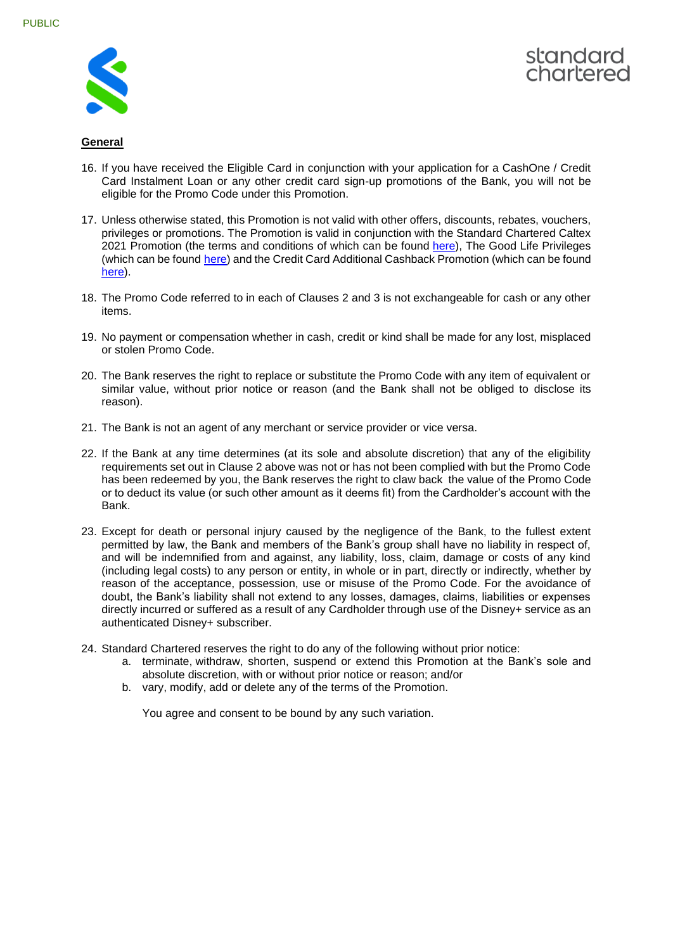



## **General**

- 16. If you have received the Eligible Card in conjunction with your application for a CashOne / Credit Card Instalment Loan or any other credit card sign-up promotions of the Bank, you will not be eligible for the Promo Code under this Promotion.
- 17. Unless otherwise stated, this Promotion is not valid with other offers, discounts, rebates, vouchers, privileges or promotions. The Promotion is valid in conjunction with the Standard Chartered Caltex 2021 Promotion (the terms and conditions of which can be found [here\)](https://www.sc.com/sg/terms-and-conditions/caltex/), The Good Life Privileges (which can be found [here\)](https://www.sc.com/sg/promotions/the-good-life-privileges/) and the Credit Card Additional Cashback Promotion (which can be found [here\)](https://www.sc.com/sg/terms-and-conditions/inccashback/).
- 18. The Promo Code referred to in each of Clauses 2 and 3 is not exchangeable for cash or any other items.
- 19. No payment or compensation whether in cash, credit or kind shall be made for any lost, misplaced or stolen Promo Code.
- 20. The Bank reserves the right to replace or substitute the Promo Code with any item of equivalent or similar value, without prior notice or reason (and the Bank shall not be obliged to disclose its reason).
- 21. The Bank is not an agent of any merchant or service provider or vice versa.
- 22. If the Bank at any time determines (at its sole and absolute discretion) that any of the eligibility requirements set out in Clause 2 above was not or has not been complied with but the Promo Code has been redeemed by you, the Bank reserves the right to claw back the value of the Promo Code or to deduct its value (or such other amount as it deems fit) from the Cardholder's account with the Bank.
- 23. Except for death or personal injury caused by the negligence of the Bank, to the fullest extent permitted by law, the Bank and members of the Bank's group shall have no liability in respect of, and will be indemnified from and against, any liability, loss, claim, damage or costs of any kind (including legal costs) to any person or entity, in whole or in part, directly or indirectly, whether by reason of the acceptance, possession, use or misuse of the Promo Code. For the avoidance of doubt, the Bank's liability shall not extend to any losses, damages, claims, liabilities or expenses directly incurred or suffered as a result of any Cardholder through use of the Disney+ service as an authenticated Disney+ subscriber.
- 24. Standard Chartered reserves the right to do any of the following without prior notice:
	- a. terminate, withdraw, shorten, suspend or extend this Promotion at the Bank's sole and absolute discretion, with or without prior notice or reason; and/or
	- b. vary, modify, add or delete any of the terms of the Promotion.

You agree and consent to be bound by any such variation.